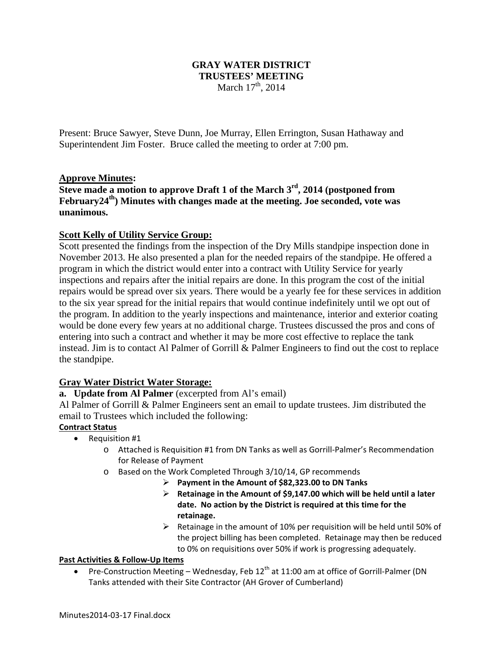# **GRAY WATER DISTRICT TRUSTEES' MEETING**  March  $17^{th}$ , 2014

Present: Bruce Sawyer, Steve Dunn, Joe Murray, Ellen Errington, Susan Hathaway and Superintendent Jim Foster. Bruce called the meeting to order at 7:00 pm.

# **Approve Minutes:**

**Steve made a motion to approve Draft 1 of the March 3rd, 2014 (postponed from February24th) Minutes with changes made at the meeting. Joe seconded, vote was unanimous.** 

# **Scott Kelly of Utility Service Group:**

Scott presented the findings from the inspection of the Dry Mills standpipe inspection done in November 2013. He also presented a plan for the needed repairs of the standpipe. He offered a program in which the district would enter into a contract with Utility Service for yearly inspections and repairs after the initial repairs are done. In this program the cost of the initial repairs would be spread over six years. There would be a yearly fee for these services in addition to the six year spread for the initial repairs that would continue indefinitely until we opt out of the program. In addition to the yearly inspections and maintenance, interior and exterior coating would be done every few years at no additional charge. Trustees discussed the pros and cons of entering into such a contract and whether it may be more cost effective to replace the tank instead. Jim is to contact Al Palmer of Gorrill & Palmer Engineers to find out the cost to replace the standpipe.

# **Gray Water District Water Storage:**

# **a. Update from Al Palmer** (excerpted from Al's email)

Al Palmer of Gorrill & Palmer Engineers sent an email to update trustees. Jim distributed the email to Trustees which included the following:

# **Contract Status**

- Requisition #1
	- o Attached is Requisition #1 from DN Tanks as well as Gorrill‐Palmer's Recommendation for Release of Payment
	- o Based on the Work Completed Through 3/10/14, GP recommends
		- **Payment in the Amount of \$82,323.00 to DN Tanks**
			- **Retainage in the Amount of \$9,147.00 which will be held until a later date. No action by the District is required at this time for the retainage.**
		- $\triangleright$  Retainage in the amount of 10% per requisition will be held until 50% of the project billing has been completed. Retainage may then be reduced to 0% on requisitions over 50% if work is progressing adequately.

# **Past Activities & Follow‐Up Items**

Pre-Construction Meeting – Wednesday, Feb  $12<sup>th</sup>$  at 11:00 am at office of Gorrill-Palmer (DN Tanks attended with their Site Contractor (AH Grover of Cumberland)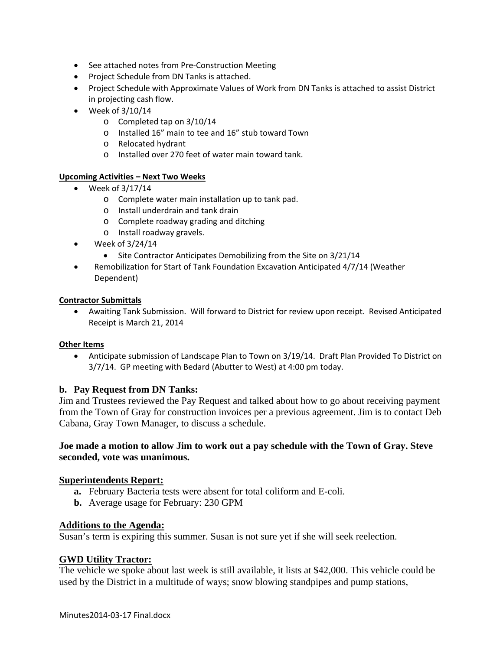- See attached notes from Pre-Construction Meeting
- Project Schedule from DN Tanks is attached.
- Project Schedule with Approximate Values of Work from DN Tanks is attached to assist District in projecting cash flow.
- $\bullet$  Week of 3/10/14
	- o Completed tap on 3/10/14
	- o Installed 16" main to tee and 16" stub toward Town
	- o Relocated hydrant
	- o Installed over 270 feet of water main toward tank.

## **Upcoming Activities – Next Two Weeks**

- $\bullet$  Week of 3/17/14
	- o Complete water main installation up to tank pad.
	- o Install underdrain and tank drain
	- o Complete roadway grading and ditching
	- o Install roadway gravels.
- $\bullet$  Week of 3/24/14
	- Site Contractor Anticipates Demobilizing from the Site on 3/21/14
- Remobilization for Start of Tank Foundation Excavation Anticipated 4/7/14 (Weather Dependent)

#### **Contractor Submittals**

 Awaiting Tank Submission. Will forward to District for review upon receipt. Revised Anticipated Receipt is March 21, 2014

## **Other Items**

 Anticipate submission of Landscape Plan to Town on 3/19/14. Draft Plan Provided To District on 3/7/14. GP meeting with Bedard (Abutter to West) at 4:00 pm today.

## **b. Pay Request from DN Tanks:**

Jim and Trustees reviewed the Pay Request and talked about how to go about receiving payment from the Town of Gray for construction invoices per a previous agreement. Jim is to contact Deb Cabana, Gray Town Manager, to discuss a schedule.

## **Joe made a motion to allow Jim to work out a pay schedule with the Town of Gray. Steve seconded, vote was unanimous.**

## **Superintendents Report:**

- **a.** February Bacteria tests were absent for total coliform and E-coli.
- **b.** Average usage for February: 230 GPM

## **Additions to the Agenda:**

Susan's term is expiring this summer. Susan is not sure yet if she will seek reelection.

## **GWD Utility Tractor:**

The vehicle we spoke about last week is still available, it lists at \$42,000. This vehicle could be used by the District in a multitude of ways; snow blowing standpipes and pump stations,